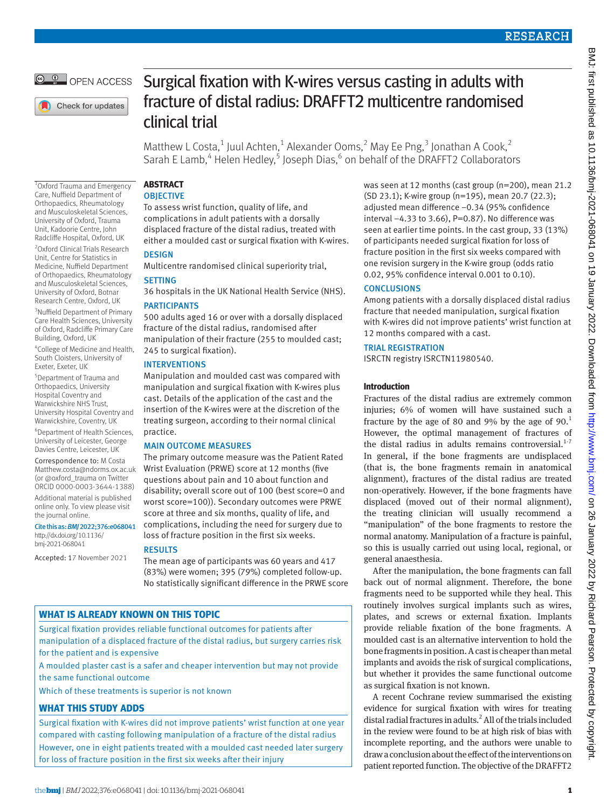

Check for updates

1 Oxford Trauma and Emergency Care, Nuffield Department of Orthopaedics, Rheumatology and Musculoskeletal Sciences, University of Oxford, Trauma Unit, Kadoorie Centre, John Radcliffe Hospital, Oxford, UK 2 Oxford Clinical Trials Research Unit, Centre for Statistics in Medicine, Nuffield Department of Orthopaedics, Rheumatology and Musculoskeletal Sciences, University of Oxford, Botnar Research Centre, Oxford, UK <sup>3</sup>Nuffield Department of Primary Care Health Sciences, University of Oxford, Radcliffe Primary Care

Building, Oxford, UK

the journal online.

Cite this as: *BMJ*2022;376:e068041 [http://dx.doi.org/10.1136/](http://dx.doi.org/10.1136/bmj-2021-066768) [bmj-2021-068041](http://dx.doi.org/10.1136/bmj-2021-066768)

Accepted: 17 November 2021

4 College of Medicine and Health, South Cloisters, University of Exeter, Exeter, UK 5 Department of Trauma and Orthopaedics, University Hospital Coventry and Warwickshire NHS Trust, University Hospital Coventry and Warwickshire, Coventry, UK 6 Department of Health Sciences, University of Leicester, George Davies Centre, Leicester, UK Correspondence to: M Costa [Matthew.costa@ndorms.ox.ac.uk](mailto:Matthew.costa@ndorms.ox.ac.uk) (or [@oxford\\_trauma](https://twitter.com/oxford_trauma) on Twitter ORCID [0000-0003-3644-1388\)](https://orcid.org/0000-0003-3644-1388) Additional material is published online only. To view please visit

# Surgical fixation with K-wires versus casting in adults with fracture of distal radius: DRAFFT2 multicentre randomised clinical trial

Matthew L Costa,<sup>1</sup> Juul Achten,<sup>1</sup> Alexander Ooms,<sup>2</sup> May Ee Png,<sup>3</sup> Jonathan A Cook,<sup>2</sup> Sarah E Lamb,<sup>4</sup> Helen Hedley,<sup>5</sup> Joseph Dias,<sup>6</sup> on behalf of the DRAFFT2 Collaborators

## **ABSTRACT OBJECTIVE**

To assess wrist function, quality of life, and complications in adult patients with a dorsally displaced fracture of the distal radius, treated with either a moulded cast or surgical fixation with K-wires.

**DESIGN** 

Multicentre randomised clinical superiority trial,

# **SETTING**

36 hospitals in the UK National Health Service (NHS).

# PARTICIPANTS

500 adults aged 16 or over with a dorsally displaced fracture of the distal radius, randomised after manipulation of their fracture (255 to moulded cast; 245 to surgical fixation).

# INTERVENTIONS

Manipulation and moulded cast was compared with manipulation and surgical fixation with K-wires plus cast. Details of the application of the cast and the insertion of the K-wires were at the discretion of the treating surgeon, according to their normal clinical practice.

# MAIN OUTCOME MEASURES

The primary outcome measure was the Patient Rated Wrist Evaluation (PRWE) score at 12 months (five questions about pain and 10 about function and disability; overall score out of 100 (best score=0 and worst score=100)). Secondary outcomes were PRWE score at three and six months, quality of life, and complications, including the need for surgery due to loss of fracture position in the first six weeks.

# RESULTS

The mean age of participants was 60 years and 417 (83%) were women; 395 (79%) completed follow-up. No statistically significant difference in the PRWE score

# **WHAT IS ALREADY KNOWN ON THIS TOPIC**

Surgical fixation provides reliable functional outcomes for patients after manipulation of a displaced fracture of the distal radius, but surgery carries risk for the patient and is expensive

A moulded plaster cast is a safer and cheaper intervention but may not provide the same functional outcome

Which of these treatments is superior is not known

# **WHAT THIS STUDY ADDS**

Surgical fixation with K-wires did not improve patients' wrist function at one year compared with casting following manipulation of a fracture of the distal radius However, one in eight patients treated with a moulded cast needed later surgery for loss of fracture position in the first six weeks after their injury

was seen at 12 months (cast group (n=200), mean 21.2 (SD 23.1); K-wire group (n=195), mean 20.7 (22.3); adjusted mean difference −0.34 (95% confidence interval −4.33 to 3.66), P=0.87). No difference was seen at earlier time points. In the cast group, 33 (13%) of participants needed surgical fixation for loss of fracture position in the first six weeks compared with one revision surgery in the K-wire group (odds ratio 0.02, 95% confidence interval 0.001 to 0.10).

# **CONCLUSIONS**

Among patients with a dorsally displaced distal radius fracture that needed manipulation, surgical fixation with K-wires did not improve patients' wrist function at 12 months compared with a cast.

# TRIAL REGISTRATION

ISRCTN registry [ISRCTN11980540](file:///D:\BMJ%20Academic\Articles\bmj-2021-068041\Pre-editing\ISRCTN11980540).

# **Introduction**

Fractures of the distal radius are extremely common injuries; 6% of women will have sustained such a fracture by the age of 80 and 9% by the age of  $90<sup>1</sup>$ However, the optimal management of fractures of the distal radius in adults remains controversial. $1.7$ In general, if the bone fragments are undisplaced (that is, the bone fragments remain in anatomical alignment), fractures of the distal radius are treated non-operatively. However, if the bone fragments have displaced (moved out of their normal alignment), the treating clinician will usually recommend a "manipulation" of the bone fragments to restore the normal anatomy. Manipulation of a fracture is painful, so this is usually carried out using local, regional, or general anaesthesia.

After the manipulation, the bone fragments can fall back out of normal alignment. Therefore, the bone fragments need to be supported while they heal. This routinely involves surgical implants such as wires, plates, and screws or external fixation. Implants provide reliable fixation of the bone fragments. A moulded cast is an alternative intervention to hold the bone fragments in position. A cast is cheaper than metal implants and avoids the risk of surgical complications, but whether it provides the same functional outcome as surgical fixation is not known.

A recent Cochrane review summarised the existing evidence for surgical fixation with wires for treating distal radial fractures in adults.<sup>2</sup> All of the trials included in the review were found to be at high risk of bias with incomplete reporting, and the authors were unable to draw a conclusion about the effect of the interventions on patient reported function. The objective of the DRAFFT2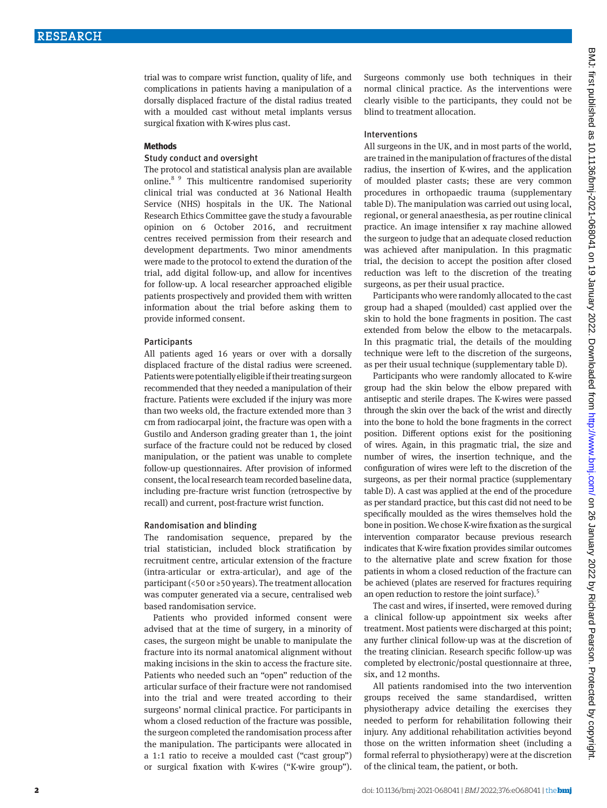trial was to compare wrist function, quality of life, and complications in patients having a manipulation of a dorsally displaced fracture of the distal radius treated with a moulded cast without metal implants versus surgical fixation with K-wires plus cast.

#### **Methods**

## Study conduct and oversight

The protocol and statistical analysis plan are available online.8 9 This multicentre randomised superiority clinical trial was conducted at 36 National Health Service (NHS) hospitals in the UK. The National Research Ethics Committee gave the study a favourable opinion on 6 October 2016, and recruitment centres received permission from their research and development departments. Two minor amendments were made to the protocol to extend the duration of the trial, add digital follow-up, and allow for incentives for follow-up. A local researcher approached eligible patients prospectively and provided them with written information about the trial before asking them to provide informed consent.

## **Participants**

All patients aged 16 years or over with a dorsally displaced fracture of the distal radius were screened. Patients were potentially eligible if their treating surgeon recommended that they needed a manipulation of their fracture. Patients were excluded if the injury was more than two weeks old, the fracture extended more than 3 cm from radiocarpal joint, the fracture was open with a Gustilo and Anderson grading greater than 1, the joint surface of the fracture could not be reduced by closed manipulation, or the patient was unable to complete follow-up questionnaires. After provision of informed consent, the local research team recorded baseline data, including pre-fracture wrist function (retrospective by recall) and current, post-fracture wrist function.

## Randomisation and blinding

The randomisation sequence, prepared by the trial statistician, included block stratification by recruitment centre, articular extension of the fracture (intra-articular or extra-articular), and age of the participant (<50 or ≥50 years). The treatment allocation was computer generated via a secure, centralised web based randomisation service.

Patients who provided informed consent were advised that at the time of surgery, in a minority of cases, the surgeon might be unable to manipulate the fracture into its normal anatomical alignment without making incisions in the skin to access the fracture site. Patients who needed such an "open" reduction of the articular surface of their fracture were not randomised into the trial and were treated according to their surgeons' normal clinical practice. For participants in whom a closed reduction of the fracture was possible, the surgeon completed the randomisation process after the manipulation. The participants were allocated in a 1:1 ratio to receive a moulded cast ("cast group") or surgical fixation with K-wires ("K-wire group"). Surgeons commonly use both techniques in their normal clinical practice. As the interventions were clearly visible to the participants, they could not be blind to treatment allocation.

## Interventions

All surgeons in the UK, and in most parts of the world, are trained in the manipulation of fractures of the distal radius, the insertion of K-wires, and the application of moulded plaster casts; these are very common procedures in orthopaedic trauma (supplementary table D). The manipulation was carried out using local, regional, or general anaesthesia, as per routine clinical practice. An image intensifier x ray machine allowed the surgeon to judge that an adequate closed reduction was achieved after manipulation. In this pragmatic trial, the decision to accept the position after closed reduction was left to the discretion of the treating surgeons, as per their usual practice.

Participants who were randomly allocated to the cast group had a shaped (moulded) cast applied over the skin to hold the bone fragments in position. The cast extended from below the elbow to the metacarpals. In this pragmatic trial, the details of the moulding technique were left to the discretion of the surgeons, as per their usual technique (supplementary table D).

Participants who were randomly allocated to K-wire group had the skin below the elbow prepared with antiseptic and sterile drapes. The K-wires were passed through the skin over the back of the wrist and directly into the bone to hold the bone fragments in the correct position. Different options exist for the positioning of wires. Again, in this pragmatic trial, the size and number of wires, the insertion technique, and the configuration of wires were left to the discretion of the surgeons, as per their normal practice (supplementary table D). A cast was applied at the end of the procedure as per standard practice, but this cast did not need to be specifically moulded as the wires themselves hold the bone in position. We chose K-wire fixation as the surgical intervention comparator because previous research indicates that K-wire fixation provides similar outcomes to the alternative plate and screw fixation for those patients in whom a closed reduction of the fracture can be achieved (plates are reserved for fractures requiring an open reduction to restore the joint surface).<sup>5</sup>

The cast and wires, if inserted, were removed during a clinical follow-up appointment six weeks after treatment. Most patients were discharged at this point; any further clinical follow-up was at the discretion of the treating clinician. Research specific follow-up was completed by electronic/postal questionnaire at three, six, and 12 months.

All patients randomised into the two intervention groups received the same standardised, written physiotherapy advice detailing the exercises they needed to perform for rehabilitation following their injury. Any additional rehabilitation activities beyond those on the written information sheet (including a formal referral to physiotherapy) were at the discretion of the clinical team, the patient, or both.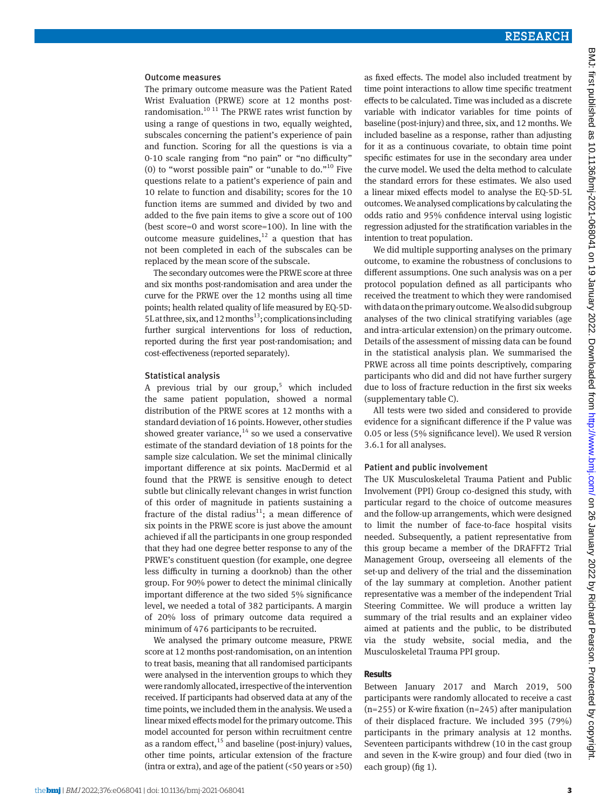#### Outcome measures

The primary outcome measure was the Patient Rated Wrist Evaluation (PRWE) score at 12 months postrandomisation.<sup>10 11</sup> The PRWE rates wrist function by using a range of questions in two, equally weighted, subscales concerning the patient's experience of pain and function. Scoring for all the questions is via a 0-10 scale ranging from "no pain" or "no difficulty" (0) to "worst possible pain" or "unable to do."<sup>10</sup> Five questions relate to a patient's experience of pain and 10 relate to function and disability; scores for the 10 function items are summed and divided by two and added to the five pain items to give a score out of 100 (best score=0 and worst score=100). In line with the outcome measure guidelines, $12$  a question that has not been completed in each of the subscales can be replaced by the mean score of the subscale.

The secondary outcomes were the PRWE score at three and six months post-randomisation and area under the curve for the PRWE over the 12 months using all time points; health related quality of life measured by EQ-5D-5L at three, six, and 12 months<sup>13</sup>; complications including further surgical interventions for loss of reduction, reported during the first year post-randomisation; and cost-effectiveness (reported separately).

#### Statistical analysis

A previous trial by our group,<sup>5</sup> which included the same patient population, showed a normal distribution of the PRWE scores at 12 months with a standard deviation of 16 points. However, other studies showed greater variance,  $14$  so we used a conservative estimate of the standard deviation of 18 points for the sample size calculation. We set the minimal clinically important difference at six points. MacDermid et al found that the PRWE is sensitive enough to detect subtle but clinically relevant changes in wrist function of this order of magnitude in patients sustaining a fracture of the distal radius<sup>11</sup>; a mean difference of six points in the PRWE score is just above the amount achieved if all the participants in one group responded that they had one degree better response to any of the PRWE's constituent question (for example, one degree less difficulty in turning a doorknob) than the other group. For 90% power to detect the minimal clinically important difference at the two sided 5% significance level, we needed a total of 382 participants. A margin of 20% loss of primary outcome data required a minimum of 476 participants to be recruited.

We analysed the primary outcome measure, PRWE score at 12 months post-randomisation, on an intention to treat basis, meaning that all randomised participants were analysed in the intervention groups to which they were randomly allocated, irrespective of the intervention received. If participants had observed data at any of the time points, we included them in the analysis. We used a linear mixed effects model for the primary outcome. This model accounted for person within recruitment centre as a random effect, $15$  and baseline (post-injury) values, other time points, articular extension of the fracture (intra or extra), and age of the patient (<50 years or  $\geq 50$ )

as fixed effects. The model also included treatment by time point interactions to allow time specific treatment effects to be calculated. Time was included as a discrete variable with indicator variables for time points of baseline (post-injury) and three, six, and 12 months. We included baseline as a response, rather than adjusting for it as a continuous covariate, to obtain time point specific estimates for use in the secondary area under the curve model. We used the delta method to calculate the standard errors for these estimates. We also used a linear mixed effects model to analyse the EQ-5D-5L outcomes. We analysed complications by calculating the odds ratio and 95% confidence interval using logistic regression adjusted for the stratification variables in the intention to treat population.

We did multiple supporting analyses on the primary outcome, to examine the robustness of conclusions to different assumptions. One such analysis was on a per protocol population defined as all participants who received the treatment to which they were randomised with data on the primary outcome. We also did subgroup analyses of the two clinical stratifying variables (age and intra-articular extension) on the primary outcome. Details of the assessment of missing data can be found in the statistical analysis plan. We summarised the PRWE across all time points descriptively, comparing participants who did and did not have further surgery due to loss of fracture reduction in the first six weeks (supplementary table C).

All tests were two sided and considered to provide evidence for a significant difference if the P value was 0.05 or less (5% significance level). We used R version 3.6.1 for all analyses.

## Patient and public involvement

The UK Musculoskeletal Trauma Patient and Public Involvement (PPI) Group co-designed this study, with particular regard to the choice of outcome measures and the follow-up arrangements, which were designed to limit the number of face-to-face hospital visits needed. Subsequently, a patient representative from this group became a member of the DRAFFT2 Trial Management Group, overseeing all elements of the set-up and delivery of the trial and the dissemination of the lay summary at completion. Another patient representative was a member of the independent Trial Steering Committee. We will produce a written lay summary of the trial results and an explainer video aimed at patients and the public, to be distributed via the study website, social media, and the Musculoskeletal Trauma PPI group.

## **Results**

Between January 2017 and March 2019, 500 participants were randomly allocated to receive a cast (n=255) or K-wire fixation (n=245) after manipulation of their displaced fracture. We included 395 (79%) participants in the primary analysis at 12 months. Seventeen participants withdrew (10 in the cast group and seven in the K-wire group) and four died (two in each group) (fig 1).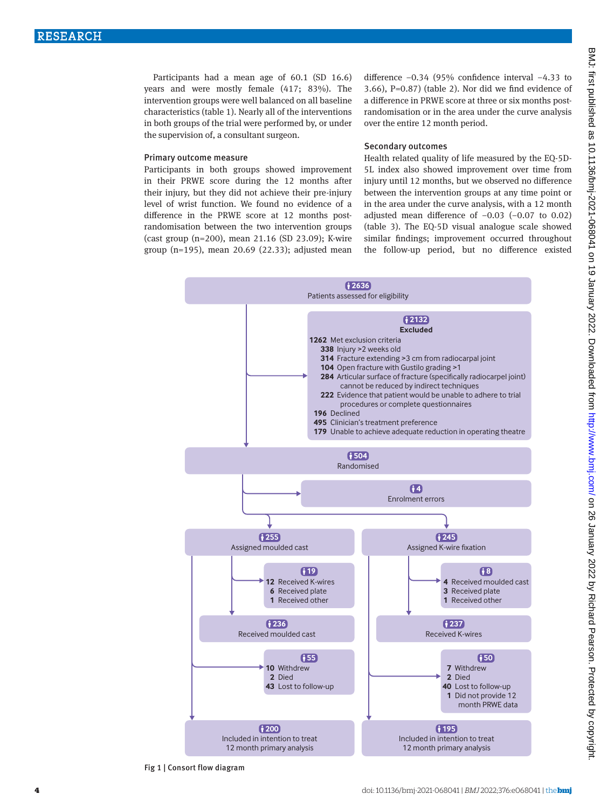Participants had a mean age of 60.1 (SD 16.6) years and were mostly female (417; 83%). The intervention groups were well balanced on all baseline characteristics (table 1). Nearly all of the interventions in both groups of the trial were performed by, or under the supervision of, a consultant surgeon.

## Primary outcome measure

Participants in both groups showed improvement in their PRWE score during the 12 months after their injury, but they did not achieve their pre-injury level of wrist function. We found no evidence of a difference in the PRWE score at 12 months postrandomisation between the two intervention groups (cast group (n=200), mean 21.16 (SD 23.09); K-wire group (n=195), mean 20.69 (22.33); adjusted mean difference −0.34 (95% confidence interval −4.33 to 3.66), P=0.87) (table 2). Nor did we find evidence of a difference in PRWE score at three or six months postrandomisation or in the area under the curve analysis over the entire 12 month period.

#### Secondary outcomes

Health related quality of life measured by the EQ-5D-5L index also showed improvement over time from injury until 12 months, but we observed no difference between the intervention groups at any time point or in the area under the curve analysis, with a 12 month adjusted mean difference of −0.03 (−0.07 to 0.02) (table 3). The EQ-5D visual analogue scale showed similar findings; improvement occurred throughout the follow-up period, but no difference existed



Fig 1 | Consort flow diagram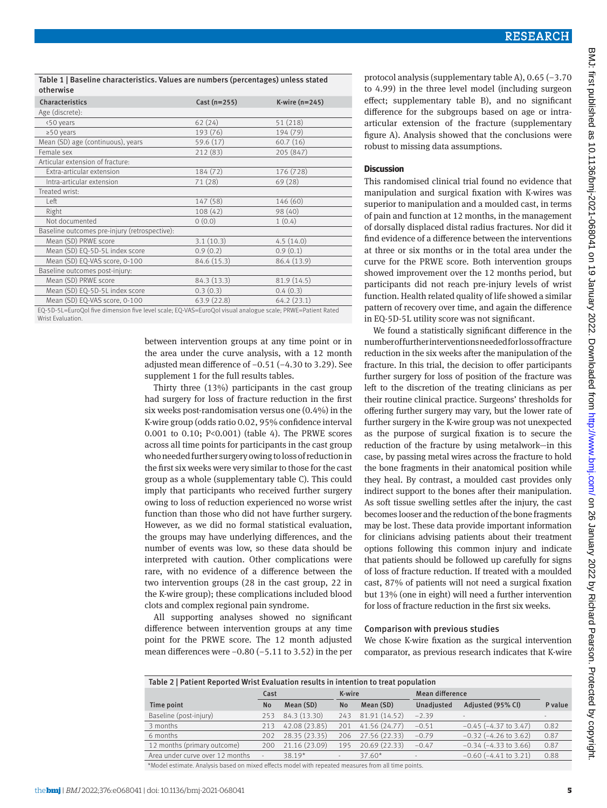Table 1 | Baseline characteristics. Values are numbers (percentages) unless stated otherwise

| Characteristics                                                                                  | Cast $(n=255)$ | K-wire $(n=245)$ |  |  |  |  |
|--------------------------------------------------------------------------------------------------|----------------|------------------|--|--|--|--|
| Age (discrete):                                                                                  |                |                  |  |  |  |  |
| <50 years                                                                                        | 62(24)         | 51 (218)         |  |  |  |  |
| $\geq$ 50 years                                                                                  | 193 (76)       | 194 (79)         |  |  |  |  |
| Mean (SD) age (continuous), years                                                                | 59.6 (17)      | 60.7(16)         |  |  |  |  |
| Female sex                                                                                       | 212 (83)       | 205 (847)        |  |  |  |  |
| Articular extension of fracture:                                                                 |                |                  |  |  |  |  |
| Extra-articular extension                                                                        | 184 (72)       | 176 (728)        |  |  |  |  |
| Intra-articular extension                                                                        | 71 (28)        | 69 (28)          |  |  |  |  |
| Treated wrist:                                                                                   |                |                  |  |  |  |  |
| Left                                                                                             | 147 (58)       | 146 (60)         |  |  |  |  |
| Right                                                                                            | 108(42)        | 98 (40)          |  |  |  |  |
| Not documented                                                                                   | 0(0.0)         | 1(0.4)           |  |  |  |  |
| Baseline outcomes pre-injury (retrospective):                                                    |                |                  |  |  |  |  |
| Mean (SD) PRWE score                                                                             | 3.1(10.3)      | 4.5(14.0)        |  |  |  |  |
| Mean (SD) EQ-5D-5L index score                                                                   | 0.9(0.2)       | 0.9(0.1)         |  |  |  |  |
| Mean (SD) EQ-VAS score, 0-100                                                                    | 84.6 (15.3)    | 86.4 (13.9)      |  |  |  |  |
| Baseline outcomes post-injury:                                                                   |                |                  |  |  |  |  |
| Mean (SD) PRWE score                                                                             | 84.3 (13.3)    | 81.9 (14.5)      |  |  |  |  |
| Mean (SD) EQ-5D-5L index score                                                                   | 0.3(0.3)       | 0.4(0.3)         |  |  |  |  |
| Mean (SD) EQ-VAS score, 0-100                                                                    | 63.9(22.8)     | 64.2(23.1)       |  |  |  |  |
| EO ED EL EUILO I AU INICIDIDIDADE LOS INICIOS EO MACIENTO I UN ORIGINAL DO LOS DOMETORICADORES I |                |                  |  |  |  |  |

EQ-5D-5L=EuroQol five dimension five level scale; EQ-VAS=EuroQol visual analogue scale; PRWE=Patient Rated Wrist Evaluation.

> between intervention groups at any time point or in the area under the curve analysis, with a 12 month adjusted mean difference of −0.51 (−4.30 to 3.29). See supplement 1 for the full results tables.

Thirty three (13%) participants in the cast group had surgery for loss of fracture reduction in the first six weeks post-randomisation versus one (0.4%) in the K-wire group (odds ratio 0.02, 95% confidence interval 0.001 to 0.10; P<0.001) (table 4). The PRWE scores across all time points for participants in the cast group who needed further surgery owing to loss of reduction in the first six weeks were very similar to those for the cast group as a whole (supplementary table C). This could imply that participants who received further surgery owing to loss of reduction experienced no worse wrist function than those who did not have further surgery. However, as we did no formal statistical evaluation, the groups may have underlying differences, and the number of events was low, so these data should be interpreted with caution. Other complications were rare, with no evidence of a difference between the two intervention groups (28 in the cast group, 22 in the K-wire group); these complications included blood clots and complex regional pain syndrome.

All supporting analyses showed no significant difference between intervention groups at any time point for the PRWE score. The 12 month adjusted mean differences were −0.80 (−5.11 to 3.52) in the per

protocol analysis (supplementary table A), 0.65 (−3.70 to 4.99) in the three level model (including surgeon effect; supplementary table B), and no significant difference for the subgroups based on age or intraarticular extension of the fracture (supplementary figure A). Analysis showed that the conclusions were robust to missing data assumptions.

## **Discussion**

This randomised clinical trial found no evidence that manipulation and surgical fixation with K-wires was superior to manipulation and a moulded cast, in terms of pain and function at 12 months, in the management of dorsally displaced distal radius fractures. Nor did it find evidence of a difference between the interventions at three or six months or in the total area under the curve for the PRWE score. Both intervention groups showed improvement over the 12 months period, but participants did not reach pre-injury levels of wrist function. Health related quality of life showed a similar pattern of recovery over time, and again the difference in EQ-5D-5L utility score was not significant.

We found a statistically significant difference in the number of further interventions needed for loss of fracture reduction in the six weeks after the manipulation of the fracture. In this trial, the decision to offer participants further surgery for loss of position of the fracture was left to the discretion of the treating clinicians as per their routine clinical practice. Surgeons' thresholds for offering further surgery may vary, but the lower rate of further surgery in the K-wire group was not unexpected as the purpose of surgical fixation is to secure the reduction of the fracture by using metalwork—in this case, by passing metal wires across the fracture to hold the bone fragments in their anatomical position while they heal. By contrast, a moulded cast provides only indirect support to the bones after their manipulation. As soft tissue swelling settles after the injury, the cast becomes looser and the reduction of the bone fragments may be lost. These data provide important information for clinicians advising patients about their treatment options following this common injury and indicate that patients should be followed up carefully for signs of loss of fracture reduction. If treated with a moulded cast, 87% of patients will not need a surgical fixation but 13% (one in eight) will need a further intervention for loss of fracture reduction in the first six weeks.

## Comparison with previous studies

We chose K-wire fixation as the surgical intervention comparator, as previous research indicates that K-wire

| Table 2   Patient Reported Wrist Evaluation results in intention to treat population |                          |               |           |               |                 |                            |         |
|--------------------------------------------------------------------------------------|--------------------------|---------------|-----------|---------------|-----------------|----------------------------|---------|
|                                                                                      | Cast                     |               | K-wire    |               | Mean difference |                            |         |
| Time point                                                                           | <b>No</b>                | Mean (SD)     | <b>No</b> | Mean (SD)     | Unadjusted      | Adjusted (95% CI)          | P value |
| Baseline (post-injury)                                                               | 253                      | 84.3 (13.30)  | 743       | 81.91 (14.52) | $-2.39$         |                            |         |
| 3 months                                                                             | 213                      | 42.08 (23.85) | 201       | 41.56 (24.77) | $-0.51$         | $-0.45$ ( $-4.37$ to 3.47) | 0.82    |
| 6 months                                                                             | 202                      | 28.35 (23.35) | 206       | 27.56 (22.33) | $-0.79$         | $-0.32$ ( $-4.26$ to 3.62) | 0.87    |
| 12 months (primary outcome)                                                          | 200                      | 21.16 (23.09) | 195       | 20.69(22.33)  | $-0.47$         | $-0.34$ ( $-4.33$ to 3.66) | 0.87    |
| Area under curve over 12 months                                                      | $\overline{\phantom{a}}$ | 38.19*        |           | $37.60*$      |                 | $-0.60$ ( $-4.41$ to 3.21) | 0.88    |

\*Model estimate. Analysis based on mixed effects model with repeated measures from all time points.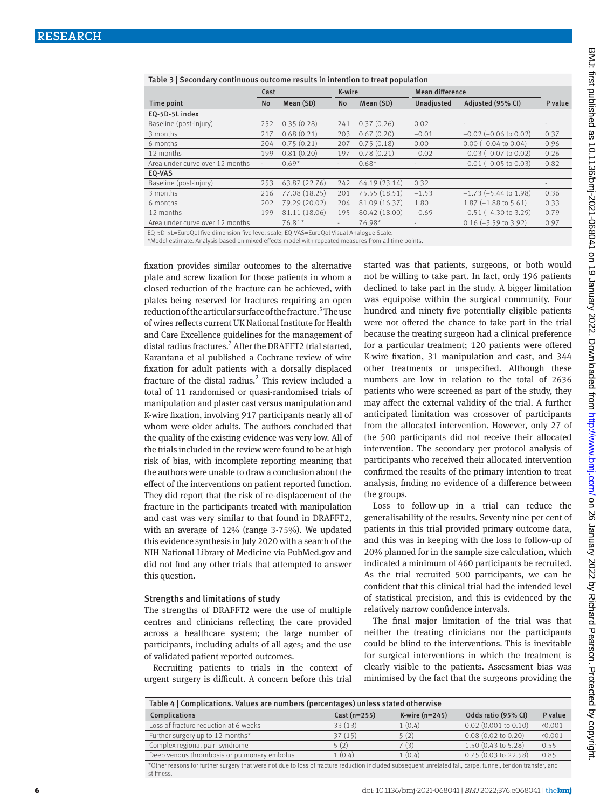| Table 3   Secondary continuous outcome results in intention to treat population |                          |               |                          |               |                 |                                |                          |
|---------------------------------------------------------------------------------|--------------------------|---------------|--------------------------|---------------|-----------------|--------------------------------|--------------------------|
|                                                                                 | Cast                     |               | K-wire                   |               | Mean difference |                                |                          |
| Time point                                                                      | <b>No</b>                | Mean (SD)     | <b>No</b>                | Mean (SD)     | Unadjusted      | Adjusted (95% CI)              | P value                  |
| EQ-5D-5L index                                                                  |                          |               |                          |               |                 |                                |                          |
| Baseline (post-injury)                                                          | 252                      | 0.35(0.28)    | 241                      | 0.37(0.26)    | 0.02            | $\overline{\phantom{a}}$       | $\overline{\phantom{a}}$ |
| 3 months                                                                        | 217                      | 0.68(0.21)    | 203                      | 0.67(0.20)    | $-0.01$         | $-0.02$ ( $-0.06$ to 0.02)     | 0.37                     |
| 6 months                                                                        | 204                      | 0.75(0.21)    | 207                      | 0.75(0.18)    | 0.00            | $0.00$ (-0.04 to 0.04)         | 0.96                     |
| 12 months                                                                       | 199                      | 0.81(0.20)    | 197                      | 0.78(0.21)    | $-0.02$         | $-0.03$ ( $-0.07$ to 0.02)     | 0.26                     |
| Area under curve over 12 months                                                 | $\overline{\phantom{a}}$ | $0.69*$       | $\overline{\phantom{a}}$ | $0.68*$       |                 | $-0.01$ ( $-0.05$ to 0.03)     | 0.82                     |
| EO-VAS                                                                          |                          |               |                          |               |                 |                                |                          |
| Baseline (post-injury)                                                          | 253                      | 63.87 (22.76) | 242                      | 64.19 (23.14) | 0.32            |                                |                          |
| 3 months                                                                        | 216                      | 77.08 (18.25) | 201                      | 75.55 (18.51) | $-1.53$         | $-1.73$ ( $-5.44$ to 1.98)     | 0.36                     |
| 6 months                                                                        | 202                      | 79.29 (20.02) | 204                      | 81.09 (16.37) | 1.80            | $1.87(-1.88 \text{ to } 5.61)$ | 0.33                     |
| 12 months                                                                       | 199                      | 81.11 (18.06) | 195                      | 80.42 (18.00) | $-0.69$         | $-0.51$ ( $-4.30$ to 3.29)     | 0.79                     |
| Area under curve over 12 months                                                 |                          | $76.81*$      | $\overline{\phantom{a}}$ | 76.98*        |                 | $0.16$ (-3.59 to 3.92)         | 0.97                     |

EQ-5D-5L=EuroQol five dimension five level scale; EQ-VAS=EuroQol Visual Analogue Scale.

\*Model estimate. Analysis based on mixed effects model with repeated measures from all time points.

fixation provides similar outcomes to the alternative plate and screw fixation for those patients in whom a closed reduction of the fracture can be achieved, with plates being reserved for fractures requiring an open reduction of the articular surface of the fracture.<sup>5</sup> The use of wires reflects current UK National Institute for Health and Care Excellence guidelines for the management of distal radius fractures.<sup>7</sup> After the DRAFFT2 trial started, Karantana et al published a Cochrane review of wire fixation for adult patients with a dorsally displaced fracture of the distal radius.<sup>2</sup> This review included a total of 11 randomised or quasi-randomised trials of manipulation and plaster cast versus manipulation and K-wire fixation, involving 917 participants nearly all of whom were older adults. The authors concluded that the quality of the existing evidence was very low. All of the trials included in the review were found to be at high risk of bias, with incomplete reporting meaning that the authors were unable to draw a conclusion about the effect of the interventions on patient reported function. They did report that the risk of re-displacement of the fracture in the participants treated with manipulation and cast was very similar to that found in DRAFFT2, with an average of 12% (range 3-75%). We updated this evidence synthesis in July 2020 with a search of the NIH National Library of Medicine via PubMed.gov and did not find any other trials that attempted to answer this question.

#### Strengths and limitations of study

The strengths of DRAFFT2 were the use of multiple centres and clinicians reflecting the care provided across a healthcare system; the large number of participants, including adults of all ages; and the use of validated patient reported outcomes.

Recruiting patients to trials in the context of urgent surgery is difficult. A concern before this trial started was that patients, surgeons, or both would not be willing to take part. In fact, only 196 patients declined to take part in the study. A bigger limitation was equipoise within the surgical community. Four hundred and ninety five potentially eligible patients were not offered the chance to take part in the trial because the treating surgeon had a clinical preference for a particular treatment; 120 patients were offered K-wire fixation, 31 manipulation and cast, and 344 other treatments or unspecified. Although these numbers are low in relation to the total of 2636 patients who were screened as part of the study, they may affect the external validity of the trial. A further anticipated limitation was crossover of participants from the allocated intervention. However, only 27 of the 500 participants did not receive their allocated intervention. The secondary per protocol analysis of participants who received their allocated intervention confirmed the results of the primary intention to treat analysis, finding no evidence of a difference between the groups.

Loss to follow-up in a trial can reduce the generalisability of the results. Seventy nine per cent of patients in this trial provided primary outcome data, and this was in keeping with the loss to follow-up of 20% planned for in the sample size calculation, which indicated a minimum of 460 participants be recruited. As the trial recruited 500 participants, we can be confident that this clinical trial had the intended level of statistical precision, and this is evidenced by the relatively narrow confidence intervals.

The final major limitation of the trial was that neither the treating clinicians nor the participants could be blind to the interventions. This is inevitable for surgical interventions in which the treatment is clearly visible to the patients. Assessment bias was minimised by the fact that the surgeons providing the

| Table 4   Complications. Values are numbers (percentages) unless stated otherwise |                |                  |                               |         |  |  |  |  |
|-----------------------------------------------------------------------------------|----------------|------------------|-------------------------------|---------|--|--|--|--|
| Complications                                                                     | $Cast (n=255)$ | K-wire $(n=245)$ | Odds ratio (95% CI)           | P value |  |  |  |  |
| Loss of fracture reduction at 6 weeks                                             | 33(13)         | 1(0.4)           | $0.02$ (0.001 to 0.10)        | 0.001   |  |  |  |  |
| Further surgery up to 12 months*                                                  | 37(15)         | 5(2)             | $0.08(0.02 \text{ to } 0.20)$ | 0.001   |  |  |  |  |
| Complex regional pain syndrome                                                    | 5(2)           | 7(3)             | $1.50(0.43 \text{ to } 5.28)$ | 0.55    |  |  |  |  |
| Deep venous thrombosis or pulmonary embolus                                       | 1(0.4)         | 1(0.4)           | 0.75 (0.03 to 22.58)          | 0.85    |  |  |  |  |

\*Other reasons for further surgery that were not due to loss of fracture reduction included subsequent unrelated fall, carpel tunnel, tendon transfer, and stiffness.